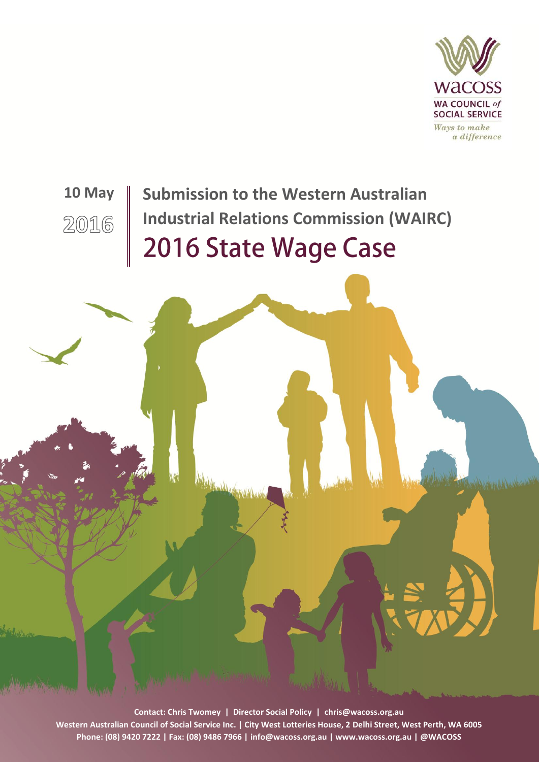

# **10 May | Submission to the Western Australian Industrial Relations Commission (WAIRC)**2016 2016 State Wage Case

**Contact: Chris Twomey | Director Social Policy | [chris@wacoss.org.au](mailto:chris@wacoss.org.au)** 1 **Western Australian Council of Social Service Inc. | City West Lotteries House, 2 Delhi Street, West Perth, WA 6005 Phone: (08) 9420 7222 | Fax: (08) 9486 7966 | [info@wacoss.org.au](mailto:info@wacoss.org.au) [| www.wacoss.org.au](http://www.wacoss.org.au/) [| @WAC](file://dc1/wacossdata/SOCIAL%20POLICY%20UNIT/Cost%20of%20Living/Cost%20of%20living%202013/Reports%20drafts/twitter.com/wacoss)OSS**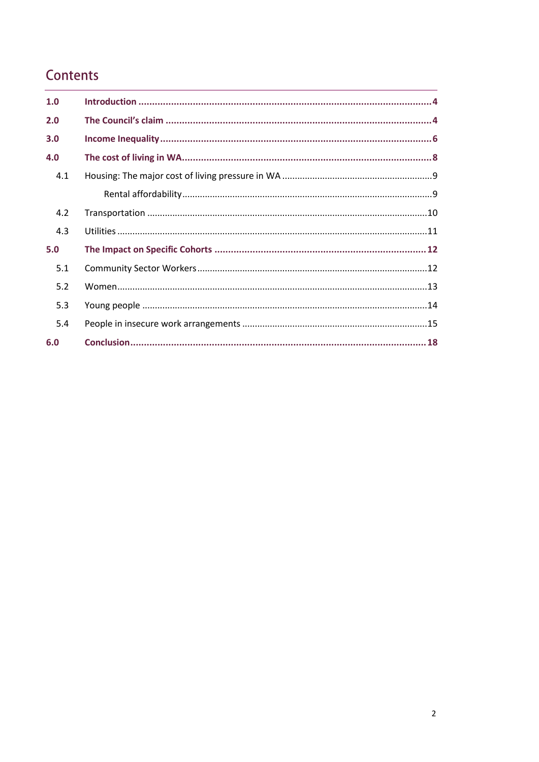# Contents

| 1.0 |  |
|-----|--|
| 2.0 |  |
| 3.0 |  |
| 4.0 |  |
| 4.1 |  |
|     |  |
| 4.2 |  |
| 4.3 |  |
| 5.0 |  |
| 5.1 |  |
| 5.2 |  |
| 5.3 |  |
| 5.4 |  |
| 6.0 |  |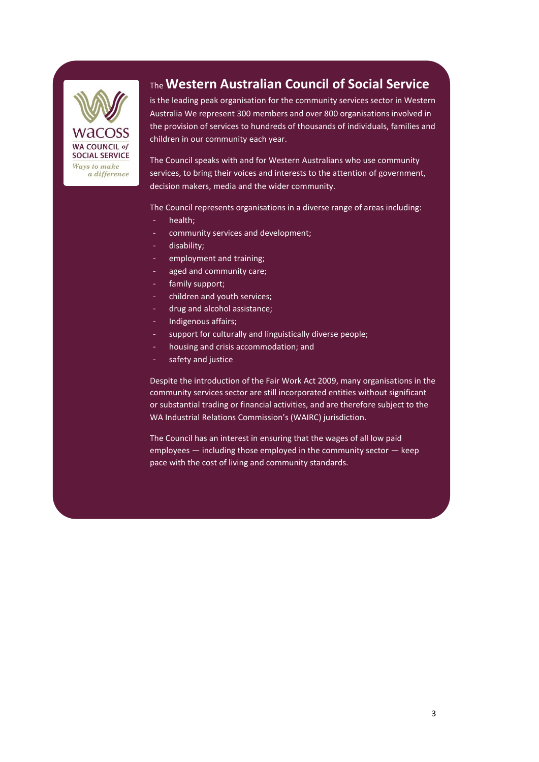

## The **Western Australian Council of Social Service**

is the leading peak organisation for the community services sector in Western Australia We represent 300 members and over 800 organisations involved in the provision of services to hundreds of thousands of individuals, families and children in our community each year.

The Council speaks with and for Western Australians who use community services, to bring their voices and interests to the attention of government, decision makers, media and the wider community.

The Council represents organisations in a diverse range of areas including:

- health;
- community services and development;
- disability;
- employment and training;
- aged and community care;
- family support:
- children and youth services;
- drug and alcohol assistance;
- Indigenous affairs;
- support for culturally and linguistically diverse people;
- housing and crisis accommodation; and
- safety and justice

Despite the introduction of the Fair Work Act 2009, many organisations in the community services sector are still incorporated entities without significant or substantial trading or financial activities, and are therefore subject to the WA Industrial Relations Commission's (WAIRC) jurisdiction.

The Council has an interest in ensuring that the wages of all low paid employees — including those employed in the community sector — keep pace with the cost of living and community standards.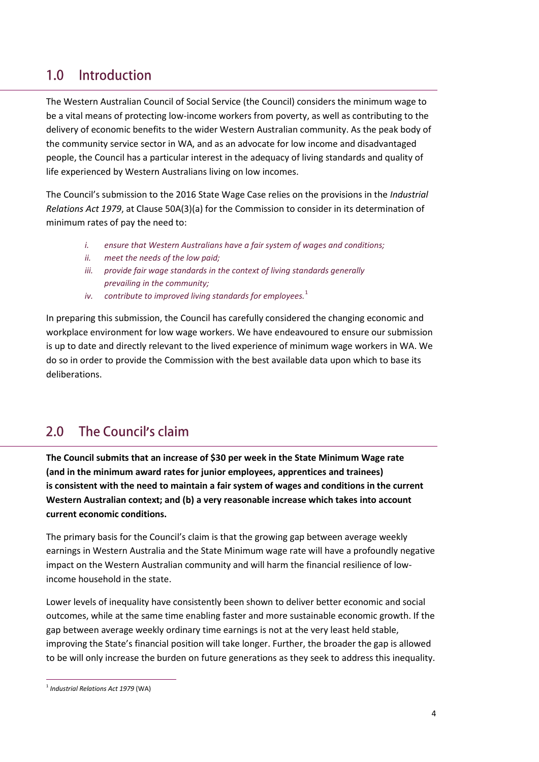#### <span id="page-3-0"></span> $1.0$ Introduction

The Western Australian Council of Social Service (the Council) considers the minimum wage to be a vital means of protecting low-income workers from poverty, as well as contributing to the delivery of economic benefits to the wider Western Australian community. As the peak body of the community service sector in WA, and as an advocate for low income and disadvantaged people, the Council has a particular interest in the adequacy of living standards and quality of life experienced by Western Australians living on low incomes.

The Council's submission to the 2016 State Wage Case relies on the provisions in the *Industrial Relations Act 1979*, at Clause 50A(3)(a) for the Commission to consider in its determination of minimum rates of pay the need to:

- *i. ensure that Western Australians have a fair system of wages and conditions;*
- *ii. meet the needs of the low paid;*
- iii. provide fair wage standards in the context of living standards generally *prevailing in the community;*
- *iv.* contribute to improved living standards for employees.<sup>1</sup>

In preparing this submission, the Council has carefully considered the changing economic and workplace environment for low wage workers. We have endeavoured to ensure our submission is up to date and directly relevant to the lived experience of minimum wage workers in WA. We do so in order to provide the Commission with the best available data upon which to base its deliberations.

#### <span id="page-3-1"></span> $2.0$ **The Council's claim**

**The Council submits that an increase of \$30 per week in the State Minimum Wage rate (and in the minimum award rates for junior employees, apprentices and trainees) is consistent with the need to maintain a fair system of wages and conditions in the current Western Australian context; and (b) a very reasonable increase which takes into account current economic conditions.** 

The primary basis for the Council's claim is that the growing gap between average weekly earnings in Western Australia and the State Minimum wage rate will have a profoundly negative impact on the Western Australian community and will harm the financial resilience of lowincome household in the state.

Lower levels of inequality have consistently been shown to deliver better economic and social outcomes, while at the same time enabling faster and more sustainable economic growth. If the gap between average weekly ordinary time earnings is not at the very least held stable, improving the State's financial position will take longer. Further, the broader the gap is allowed to be will only increase the burden on future generations as they seek to address this inequality.

1

<sup>1</sup> *Industrial Relations Act 1979* (WA)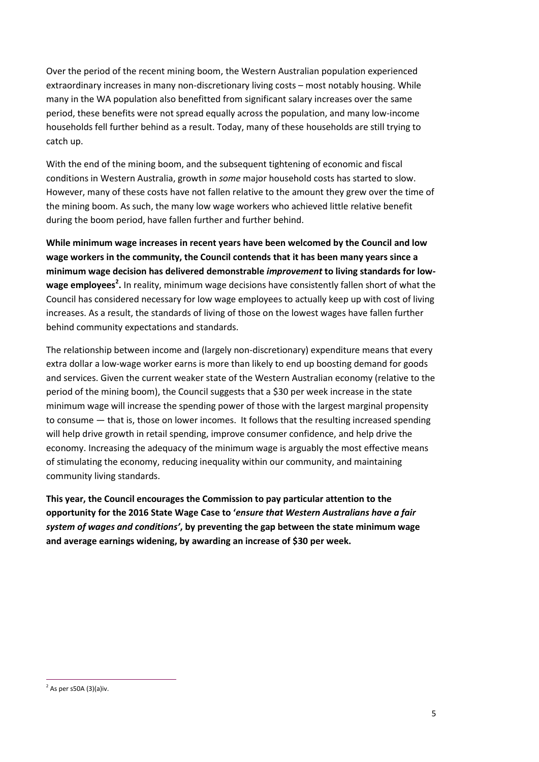Over the period of the recent mining boom, the Western Australian population experienced extraordinary increases in many non-discretionary living costs – most notably housing. While many in the WA population also benefitted from significant salary increases over the same period, these benefits were not spread equally across the population, and many low-income households fell further behind as a result. Today, many of these households are still trying to catch up.

With the end of the mining boom, and the subsequent tightening of economic and fiscal conditions in Western Australia, growth in *some* major household costs has started to slow. However, many of these costs have not fallen relative to the amount they grew over the time of the mining boom. As such, the many low wage workers who achieved little relative benefit during the boom period, have fallen further and further behind.

**While minimum wage increases in recent years have been welcomed by the Council and low wage workers in the community, the Council contends that it has been many years since a minimum wage decision has delivered demonstrable** *improvement* **to living standards for lowwage employees<sup>2</sup> .** In reality, minimum wage decisions have consistently fallen short of what the Council has considered necessary for low wage employees to actually keep up with cost of living increases. As a result, the standards of living of those on the lowest wages have fallen further behind community expectations and standards.

The relationship between income and (largely non-discretionary) expenditure means that every extra dollar a low-wage worker earns is more than likely to end up boosting demand for goods and services. Given the current weaker state of the Western Australian economy (relative to the period of the mining boom), the Council suggests that a \$30 per week increase in the state minimum wage will increase the spending power of those with the largest marginal propensity to consume — that is, those on lower incomes. It follows that the resulting increased spending will help drive growth in retail spending, improve consumer confidence, and help drive the economy. Increasing the adequacy of the minimum wage is arguably the most effective means of stimulating the economy, reducing inequality within our community, and maintaining community living standards.

**This year, the Council encourages the Commission to pay particular attention to the opportunity for the 2016 State Wage Case to '***ensure that Western Australians have a fair system of wages and conditions'***, by preventing the gap between the state minimum wage and average earnings widening, by awarding an increase of \$30 per week.**

<sup>1</sup>  $2^{2}$  As per s50A (3)(a)iv.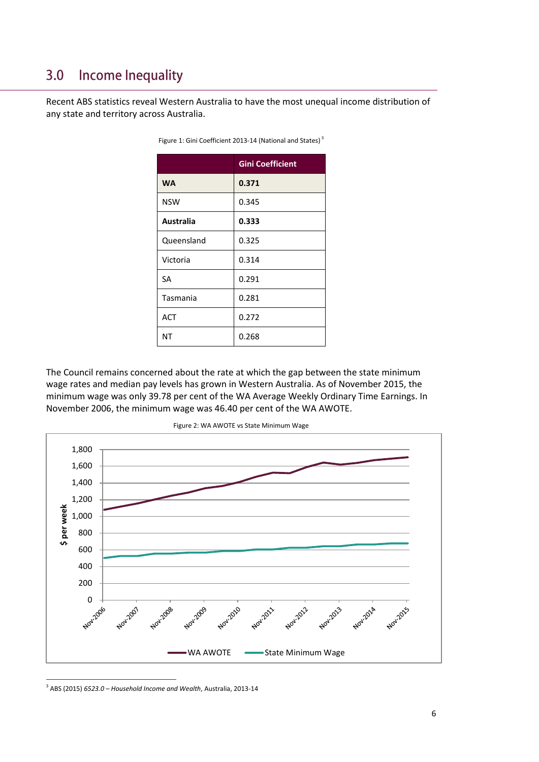#### <span id="page-5-0"></span>**Income Inequality**  $3.0$

Recent ABS statistics reveal Western Australia to have the most unequal income distribution of any state and territory across Australia.

|            | <b>Gini Coefficient</b> |  |  |
|------------|-------------------------|--|--|
| <b>WA</b>  | 0.371                   |  |  |
| <b>NSW</b> | 0.345                   |  |  |
| Australia  | 0.333                   |  |  |
| Queensland | 0.325                   |  |  |
| Victoria   | 0.314                   |  |  |
| <b>SA</b>  | 0.291                   |  |  |
| Tasmania   | 0.281                   |  |  |
| <b>ACT</b> | 0.272                   |  |  |
| <b>NT</b>  | 0.268                   |  |  |

Figure 1: Gini Coefficient 2013-14 (National and States)<sup>3</sup>

The Council remains concerned about the rate at which the gap between the state minimum wage rates and median pay levels has grown in Western Australia. As of November 2015, the minimum wage was only 39.78 per cent of the WA Average Weekly Ordinary Time Earnings. In November 2006, the minimum wage was 46.40 per cent of the WA AWOTE.



3 ABS (2015) *6523.0 – Household Income and Wealth*, Australia, 2013-14

1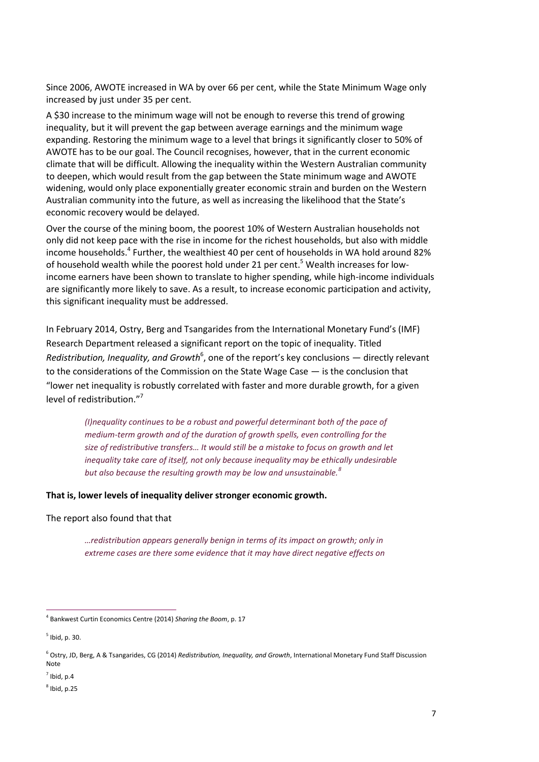Since 2006, AWOTE increased in WA by over 66 per cent, while the State Minimum Wage only increased by just under 35 per cent.

A \$30 increase to the minimum wage will not be enough to reverse this trend of growing inequality, but it will prevent the gap between average earnings and the minimum wage expanding. Restoring the minimum wage to a level that brings it significantly closer to 50% of AWOTE has to be our goal. The Council recognises, however, that in the current economic climate that will be difficult. Allowing the inequality within the Western Australian community to deepen, which would result from the gap between the State minimum wage and AWOTE widening, would only place exponentially greater economic strain and burden on the Western Australian community into the future, as well as increasing the likelihood that the State's economic recovery would be delayed.

Over the course of the mining boom, the poorest 10% of Western Australian households not only did not keep pace with the rise in income for the richest households, but also with middle income households.<sup>4</sup> Further, the wealthiest 40 per cent of households in WA hold around 82% of household wealth while the poorest hold under 21 per cent.<sup>5</sup> Wealth increases for lowincome earners have been shown to translate to higher spending, while high-income individuals are significantly more likely to save. As a result, to increase economic participation and activity, this significant inequality must be addressed.

In February 2014, Ostry, Berg and Tsangarides from the International Monetary Fund's (IMF) Research Department released a significant report on the topic of inequality. Titled Redistribution, Inequality, and Growth<sup>6</sup>, one of the report's key conclusions — directly relevant to the considerations of the Commission on the State Wage Case — is the conclusion that "lower net inequality is robustly correlated with faster and more durable growth, for a given level of redistribution."<sup>7</sup>

*(I)nequality continues to be a robust and powerful determinant both of the pace of medium-term growth and of the duration of growth spells, even controlling for the size of redistributive transfers… It would still be a mistake to focus on growth and let inequality take care of itself, not only because inequality may be ethically undesirable but also because the resulting growth may be low and unsustainable.<sup>8</sup>*

**That is, lower levels of inequality deliver stronger economic growth.**

The report also found that that

*…redistribution appears generally benign in terms of its impact on growth; only in extreme cases are there some evidence that it may have direct negative effects on* 

<sup>4</sup> Bankwest Curtin Economics Centre (2014) *Sharing the Boom*, p. 17

<sup>5</sup> Ibid, p. 30.

<sup>6</sup> Ostry, JD, Berg, A & Tsangarides, CG (2014) *Redistribution, Inequality, and Growth*, International Monetary Fund Staff Discussion **Note** 

 $<sup>7</sup>$  Ibid, p.4</sup>

 $8$  Ibid, p.25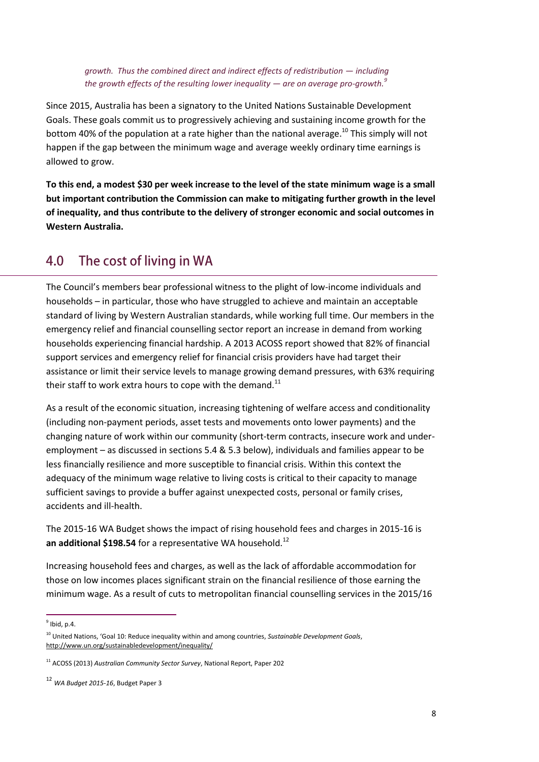*growth. Thus the combined direct and indirect effects of redistribution — including the growth effects of the resulting lower inequality — are on average pro-growth.<sup>9</sup>*

Since 2015, Australia has been a signatory to the United Nations Sustainable Development Goals. These goals commit us to progressively achieving and sustaining income growth for the bottom 40% of the population at a rate higher than the national average.<sup>10</sup> This simply will not happen if the gap between the minimum wage and average weekly ordinary time earnings is allowed to grow.

**To this end, a modest \$30 per week increase to the level of the state minimum wage is a small but important contribution the Commission can make to mitigating further growth in the level of inequality, and thus contribute to the delivery of stronger economic and social outcomes in Western Australia.** 

#### <span id="page-7-0"></span>The cost of living in WA 4.0

The Council's members bear professional witness to the plight of low-income individuals and households – in particular, those who have struggled to achieve and maintain an acceptable standard of living by Western Australian standards, while working full time. Our members in the emergency relief and financial counselling sector report an increase in demand from working households experiencing financial hardship. A 2013 ACOSS report showed that 82% of financial support services and emergency relief for financial crisis providers have had target their assistance or limit their service levels to manage growing demand pressures, with 63% requiring their staff to work extra hours to cope with the demand.<sup>11</sup>

As a result of the economic situation, increasing tightening of welfare access and conditionality (including non-payment periods, asset tests and movements onto lower payments) and the changing nature of work within our community (short-term contracts, insecure work and underemployment – as discussed in sections 5.4 & 5.3 below), individuals and families appear to be less financially resilience and more susceptible to financial crisis. Within this context the adequacy of the minimum wage relative to living costs is critical to their capacity to manage sufficient savings to provide a buffer against unexpected costs, personal or family crises, accidents and ill-health.

The 2015-16 WA Budget shows the impact of rising household fees and charges in 2015-16 is an additional \$198.54 for a representative WA household.<sup>12</sup>

Increasing household fees and charges, as well as the lack of affordable accommodation for those on low incomes places significant strain on the financial resilience of those earning the minimum wage. As a result of cuts to metropolitan financial counselling services in the 2015/16

 $\frac{1}{9}$ lbid, p.4.

<sup>&</sup>lt;sup>10</sup> United Nations, 'Goal 10: Reduce inequality within and among countries, Sustainable Development Goals, <http://www.un.org/sustainabledevelopment/inequality/>

<sup>11</sup> ACOSS (2013) *Australian Community Sector Survey*, National Report, Paper 202

<sup>12</sup> *WA Budget 2015-16*, Budget Paper 3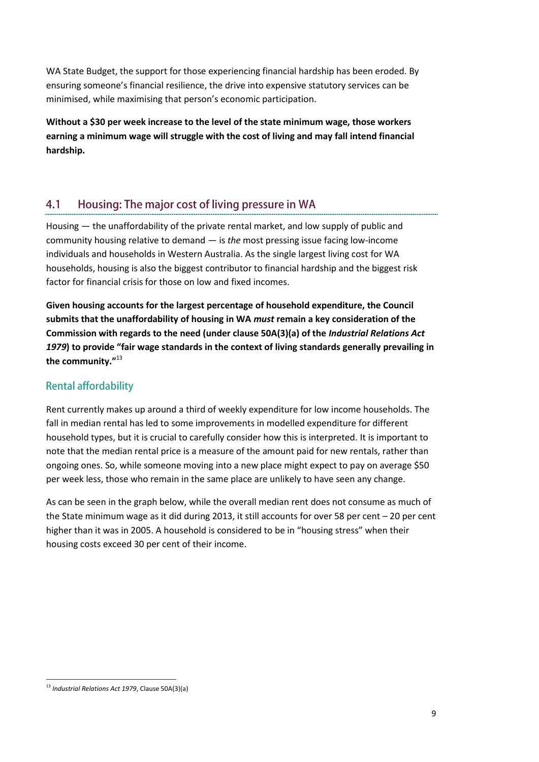WA State Budget, the support for those experiencing financial hardship has been eroded. By ensuring someone's financial resilience, the drive into expensive statutory services can be minimised, while maximising that person's economic participation.

**Without a \$30 per week increase to the level of the state minimum wage, those workers earning a minimum wage will struggle with the cost of living and may fall intend financial hardship.**

#### <span id="page-8-0"></span> $4.1$ Housing: The major cost of living pressure in WA

Housing — the unaffordability of the private rental market, and low supply of public and community housing relative to demand — is *the* most pressing issue facing low-income individuals and households in Western Australia. As the single largest living cost for WA households, housing is also the biggest contributor to financial hardship and the biggest risk factor for financial crisis for those on low and fixed incomes.

**Given housing accounts for the largest percentage of household expenditure, the Council submits that the unaffordability of housing in WA** *must* **remain a key consideration of the Commission with regards to the need (under clause 50A(3)(a) of the** *Industrial Relations Act 1979***) to provide "fair wage standards in the context of living standards generally prevailing in the community."** 13

## <span id="page-8-1"></span>**Rental affordability**

Rent currently makes up around a third of weekly expenditure for low income households. The fall in median rental has led to some improvements in modelled expenditure for different household types, but it is crucial to carefully consider how this is interpreted. It is important to note that the median rental price is a measure of the amount paid for new rentals, rather than ongoing ones. So, while someone moving into a new place might expect to pay on average \$50 per week less, those who remain in the same place are unlikely to have seen any change.

As can be seen in the graph below, while the overall median rent does not consume as much of the State minimum wage as it did during 2013, it still accounts for over 58 per cent – 20 per cent higher than it was in 2005. A household is considered to be in "housing stress" when their housing costs exceed 30 per cent of their income.

<sup>1</sup> <sup>13</sup> *Industrial Relations Act 1979*, Clause 50A(3)(a)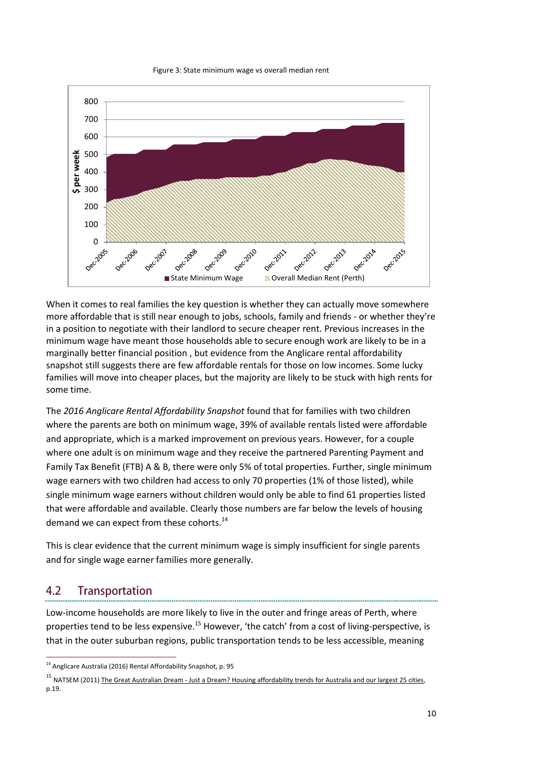



When it comes to real families the key question is whether they can actually move somewhere more affordable that is still near enough to jobs, schools, family and friends - or whether they're in a position to negotiate with their landlord to secure cheaper rent. Previous increases in the minimum wage have meant those households able to secure enough work are likely to be in a marginally better financial position , but evidence from the Anglicare rental affordability snapshot still suggests there are few affordable rentals for those on low incomes. Some lucky families will move into cheaper places, but the majority are likely to be stuck with high rents for some time.

The *2016 Anglicare Rental Affordability Snapshot* found that for families with two children where the parents are both on minimum wage, 39% of available rentals listed were affordable and appropriate, which is a marked improvement on previous years. However, for a couple where one adult is on minimum wage and they receive the partnered Parenting Payment and Family Tax Benefit (FTB) A & B, there were only 5% of total properties. Further, single minimum wage earners with two children had access to only 70 properties (1% of those listed), while single minimum wage earners without children would only be able to find 61 properties listed that were affordable and available. Clearly those numbers are far below the levels of housing demand we can expect from these cohorts.<sup>14</sup>

This is clear evidence that the current minimum wage is simply insufficient for single parents and for single wage earner families more generally.

#### <span id="page-9-0"></span> $4.2$ **Transportation**

-

Low-income households are more likely to live in the outer and fringe areas of Perth, where properties tend to be less expensive.<sup>15</sup> However, 'the catch' from a cost of living-perspective, is that in the outer suburban regions, public transportation tends to be less accessible, meaning

<sup>&</sup>lt;sup>14</sup> Anglicare Australia (2016) Rental Affordability Snapshot, p. 95

<sup>&</sup>lt;sup>15</sup> NATSEM (2011) The Great Australian Dream - [Just a Dream? Housing affordability trends for Australia and our largest 25 cities,](http://www.natsem.canberra.edu.au/storage/AMP_NATSEM_29.pdf) p.19.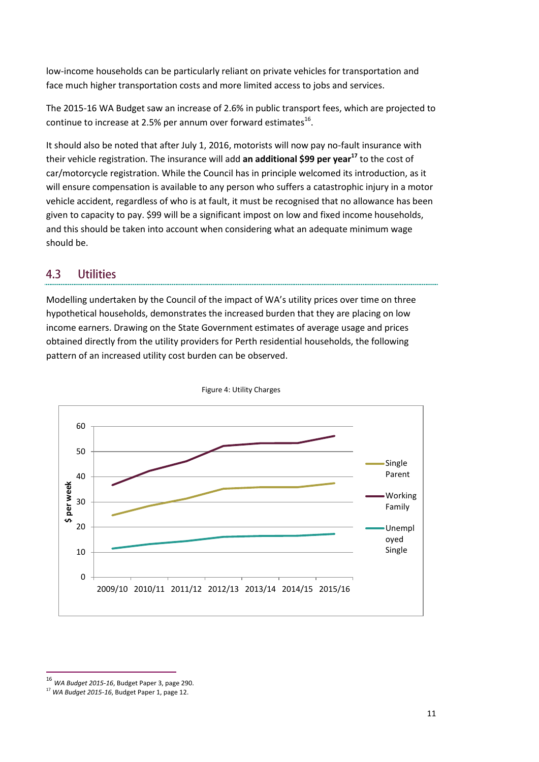low-income households can be particularly reliant on private vehicles for transportation and face much higher transportation costs and more limited access to jobs and services.

The 2015-16 WA Budget saw an increase of 2.6% in public transport fees, which are projected to continue to increase at 2.5% per annum over forward estimates $^{16}$ .

It should also be noted that after July 1, 2016, motorists will now pay no-fault insurance with their vehicle registration. The insurance will add **an additional \$99 per year<sup>17</sup>** to the cost of car/motorcycle registration. While the Council has in principle welcomed its introduction, as it will ensure compensation is available to any person who suffers a catastrophic injury in a motor vehicle accident, regardless of who is at fault, it must be recognised that no allowance has been given to capacity to pay. \$99 will be a significant impost on low and fixed income households, and this should be taken into account when considering what an adequate minimum wage should be.

#### <span id="page-10-0"></span> $4.3$ **Utilities**

Modelling undertaken by the Council of the impact of WA's utility prices over time on three hypothetical households, demonstrates the increased burden that they are placing on low income earners. Drawing on the State Government estimates of average usage and prices obtained directly from the utility providers for Perth residential households, the following pattern of an increased utility cost burden can be observed.



Figure 4: Utility Charges

<sup>16</sup> *WA Budget 2015-16*, Budget Paper 3, page 290.

<sup>17</sup> *WA Budget 2015-16*, Budget Paper 1, page 12.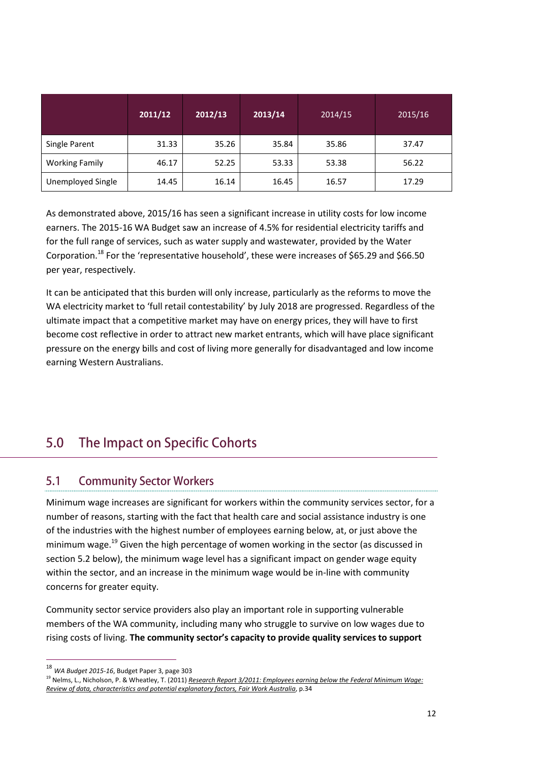|                       | 2011/12 | 2012/13 | 2013/14 | 2014/15 | 2015/16 |
|-----------------------|---------|---------|---------|---------|---------|
| Single Parent         | 31.33   | 35.26   | 35.84   | 35.86   | 37.47   |
| <b>Working Family</b> | 46.17   | 52.25   | 53.33   | 53.38   | 56.22   |
| Unemployed Single     | 14.45   | 16.14   | 16.45   | 16.57   | 17.29   |

As demonstrated above, 2015/16 has seen a significant increase in utility costs for low income earners. The 2015-16 WA Budget saw an increase of 4.5% for residential electricity tariffs and for the full range of services, such as water supply and wastewater, provided by the Water Corporation.<sup>18</sup> For the 'representative household', these were increases of \$65.29 and \$66.50 per year, respectively.

<span id="page-11-0"></span>It can be anticipated that this burden will only increase, particularly as the reforms to move the WA electricity market to 'full retail contestability' by July 2018 are progressed. Regardless of the ultimate impact that a competitive market may have on energy prices, they will have to first become cost reflective in order to attract new market entrants, which will have place significant pressure on the energy bills and cost of living more generally for disadvantaged and low income earning Western Australians.

#### $5.0$ The Impact on Specific Cohorts

#### <span id="page-11-1"></span> $5.1$ **Community Sector Workers**

Minimum wage increases are significant for workers within the community services sector, for a number of reasons, starting with the fact that health care and social assistance industry is one of the industries with the highest number of employees earning below, at, or just above the minimum wage.<sup>19</sup> Given the high percentage of women working in the sector (as discussed in section 5.2 below), the minimum wage level has a significant impact on gender wage equity within the sector, and an increase in the minimum wage would be in-line with community concerns for greater equity.

Community sector service providers also play an important role in supporting vulnerable members of the WA community, including many who struggle to survive on low wages due to rising costs of living. **The community sector's capacity to provide quality services to support** 

<sup>18</sup> *WA Budget 2015-16*, Budget Paper 3, page 303

<sup>19</sup> Nelms, L., Nicholson, P. & Wheatley, T. (2011) *[Research Report 3/2011: Employees earning below the Federal Minimum Wage:](https://www.fwc.gov.au/documents/sites/wagereview2011/research/Research_Report_3-2011.pdf)  [Review of data, characteristics and potential explanatory factors, Fair Work Australia](https://www.fwc.gov.au/documents/sites/wagereview2011/research/Research_Report_3-2011.pdf)*, p.34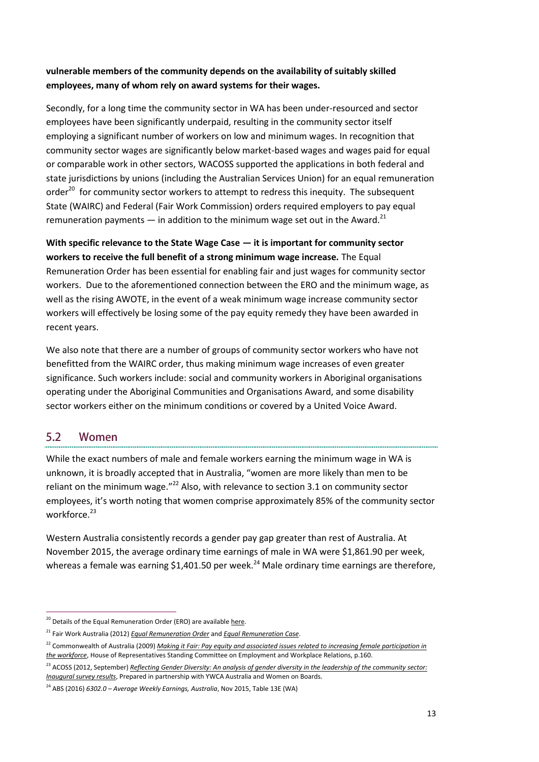### **vulnerable members of the community depends on the availability of suitably skilled employees, many of whom rely on award systems for their wages.**

Secondly, for a long time the community sector in WA has been under-resourced and sector employees have been significantly underpaid, resulting in the community sector itself employing a significant number of workers on low and minimum wages. In recognition that community sector wages are significantly below market-based wages and wages paid for equal or comparable work in other sectors, WACOSS supported the applications in both federal and state jurisdictions by unions (including the Australian Services Union) for an equal remuneration order<sup>20</sup> for community sector workers to attempt to redress this inequity. The subsequent State (WAIRC) and Federal (Fair Work Commission) orders required employers to pay equal remuneration payments  $-$  in addition to the minimum wage set out in the Award.<sup>21</sup>

**With specific relevance to the State Wage Case — it is important for community sector workers to receive the full benefit of a strong minimum wage increase.** The Equal Remuneration Order has been essential for enabling fair and just wages for community sector workers. Due to the aforementioned connection between the ERO and the minimum wage, as well as the rising AWOTE, in the event of a weak minimum wage increase community sector workers will effectively be losing some of the pay equity remedy they have been awarded in recent years.

We also note that there are a number of groups of community sector workers who have not benefitted from the WAIRC order, thus making minimum wage increases of even greater significance. Such workers include: social and community workers in Aboriginal organisations operating under the Aboriginal Communities and Organisations Award, and some disability sector workers either on the minimum conditions or covered by a United Voice Award.

#### <span id="page-12-0"></span> $5.2$ Women

While the exact numbers of male and female workers earning the minimum wage in WA is unknown, it is broadly accepted that in Australia, "women are more likely than men to be reliant on the minimum wage. $"^{22}$  Also, with relevance to section 3.1 on community sector employees, it's worth noting that women comprise approximately 85% of the community sector workforce.<sup>23</sup>

Western Australia consistently records a gender pay gap greater than rest of Australia. At November 2015, the average ordinary time earnings of male in WA were \$1,861.90 per week, whereas a female was earning \$1,401.50 per week.<sup>24</sup> Male ordinary time earnings are therefore,

<sup>-</sup><sup>20</sup> Details of the Equal Remuneration Order (ERO) are available here.

<sup>21</sup> Fair Work Australia (2012) *[Equal Remuneration Order](http://www.fairwork.gov.au/industries/social-and-community-services/pay/pages/equal-remuneration-order)* and *[Equal Remuneration Case](http://www.fairwork.gov.au/industries/social-and-community-services/pay/pages/equal-remuneration-order)*.

<sup>&</sup>lt;sup>22</sup> Commonwealth of Australia (2009) *Making it Fair: Pay equity and associated issues related to increasing female participation in [the workforce](http://www.aph.gov.au/parliamentary_business/committees/house_of_representatives_committees?url=ewr/payequity/report/fullreport.pdf)*, House of Representatives Standing Committee on Employment and Workplace Relations, p.160.

<sup>&</sup>lt;sup>23</sup> ACOSS (2012, September) *Reflecting Gender Diversity: An analysis of gender diversity in the leadership of the community sector: [Inaugural survey results](https://www.wgea.gov.au/sites/default/files/YWCA_2012_Gender_Diversity_in_Leadershipship_NFP_Boards_tag.pdf)*, Prepared in partnership with YWCA Australia and Women on Boards.

<sup>24</sup> ABS (2016) *6302.0 – Average Weekly Earnings, Australia*, Nov 2015, Table 13E (WA)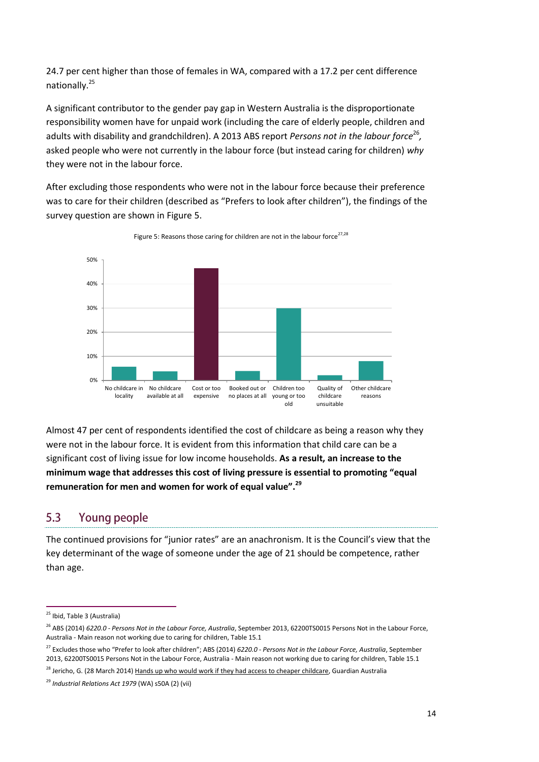24.7 per cent higher than those of females in WA, compared with a 17.2 per cent difference nationally.<sup>25</sup>

A significant contributor to the gender pay gap in Western Australia is the disproportionate responsibility women have for unpaid work (including the care of elderly people, children and adults with disability and grandchildren). A 2013 ABS report *Persons not in the labour force<sup>26</sup>,* asked people who were not currently in the labour force (but instead caring for children) *why* they were not in the labour force.

After excluding those respondents who were not in the labour force because their preference was to care for their children (described as "Prefers to look after children"), the findings of the survey question are shown in [Figure 5](#page-13-1).

<span id="page-13-1"></span>

Figure 5: Reasons those caring for children are not in the labour force<sup>27,28</sup>

Almost 47 per cent of respondents identified the cost of childcare as being a reason why they were not in the labour force. It is evident from this information that child care can be a significant cost of living issue for low income households. **As a result, an increase to the minimum wage that addresses this cost of living pressure is essential to promoting "equal remuneration for men and women for work of equal value".<sup>29</sup>**

#### <span id="page-13-0"></span> $5.3$ **Young people**

The continued provisions for "junior rates" are an anachronism. It is the Council's view that the key determinant of the wage of someone under the age of 21 should be competence, rather than age.

<sup>-</sup><sup>25</sup> Ibid, Table 3 (Australia)

<sup>26</sup> ABS (2014) *6220.0 - Persons Not in the Labour Force, Australia*, September 2013, 62200TS0015 Persons Not in the Labour Force, Australia - Main reason not working due to caring for children, Table 15.1

<sup>27</sup> Excludes those who "Prefer to look after children"; ABS (2014) *6220.0 - Persons Not in the Labour Force, Australia*, September 2013, 62200TS0015 Persons Not in the Labour Force, Australia - Main reason not working due to caring for children, Table 15.1

<sup>&</sup>lt;sup>28</sup> Jericho, G. (28 March 2014[\) Hands up who would work if they had access to cheaper childcare,](http://www.theguardian.com/business/grogonomics/2014/mar/28/hands-up-who-would-work-if-they-had-access-to-cheaper-childcare?CMP=twt_gu) Guardian Australia

<sup>29</sup> *Industrial Relations Act 1979* (WA) s50A (2) (vii)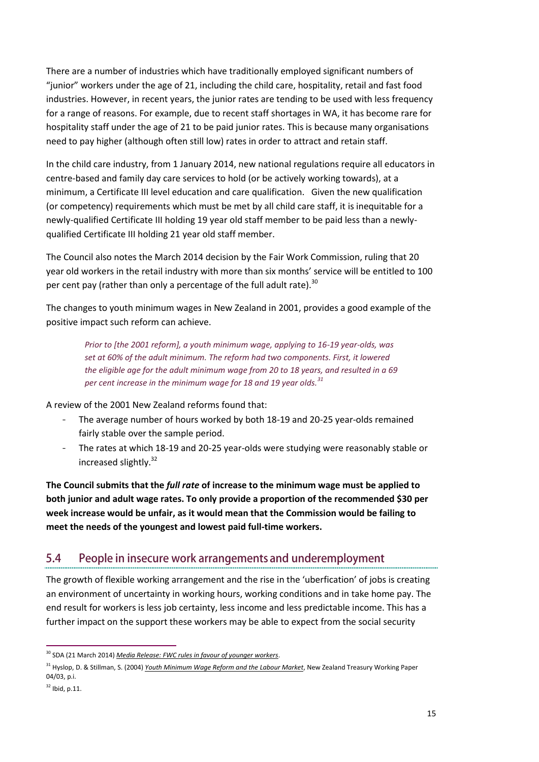There are a number of industries which have traditionally employed significant numbers of "junior" workers under the age of 21, including the child care, hospitality, retail and fast food industries. However, in recent years, the junior rates are tending to be used with less frequency for a range of reasons. For example, due to recent staff shortages in WA, it has become rare for hospitality staff under the age of 21 to be paid junior rates. This is because many organisations need to pay higher (although often still low) rates in order to attract and retain staff.

In the child care industry, from 1 January 2014, new national regulations require all educators in centre-based and family day care services to hold (or be actively working towards), at a minimum, a Certificate III level education and care qualification. Given the new qualification (or competency) requirements which must be met by all child care staff, it is inequitable for a newly-qualified Certificate III holding 19 year old staff member to be paid less than a newlyqualified Certificate III holding 21 year old staff member.

The Council also notes the March 2014 decision by the Fair Work Commission, ruling that 20 year old workers in the retail industry with more than six months' service will be entitled to 100 per cent pay (rather than only a percentage of the full adult rate). $^{30}$ 

The changes to youth minimum wages in New Zealand in 2001, provides a good example of the positive impact such reform can achieve.

*Prior to [the 2001 reform], a youth minimum wage, applying to 16-19 year-olds, was set at 60% of the adult minimum. The reform had two components. First, it lowered the eligible age for the adult minimum wage from 20 to 18 years, and resulted in a 69 per cent increase in the minimum wage for 18 and 19 year olds.<sup>31</sup>*

A review of the 2001 New Zealand reforms found that:

- The average number of hours worked by both 18-19 and 20-25 year-olds remained fairly stable over the sample period.
- The rates at which 18-19 and 20-25 year-olds were studying were reasonably stable or increased slightly.<sup>32</sup>

**The Council submits that the** *full rate* **of increase to the minimum wage must be applied to both junior and adult wage rates. To only provide a proportion of the recommended \$30 per week increase would be unfair, as it would mean that the Commission would be failing to meet the needs of the youngest and lowest paid full-time workers.** 

#### <span id="page-14-0"></span> $5.4$ People in insecure work arrangements and underemployment

The growth of flexible working arrangement and the rise in the 'uberfication' of jobs is creating an environment of uncertainty in working hours, working conditions and in take home pay. The end result for workers is less job certainty, less income and less predictable income. This has a further impact on the support these workers may be able to expect from the social security

<sup>&</sup>lt;sup>30</sup> SDA (21 March 2014) *[Media Release: FWC rules in favour of younger workers](http://www.sda.org.au/images/news_pics/news_98.pdf)*.

<sup>31</sup> Hyslop, D. & Stillman, S. (2004) *[Youth Minimum Wage Reform and the Labour Market](http://www.treasury.govt.nz/publications/research-policy/wp/2004/04-03)*, New Zealand Treasury Working Paper 04/03, p.i.

 $32$  Ibid, p.11.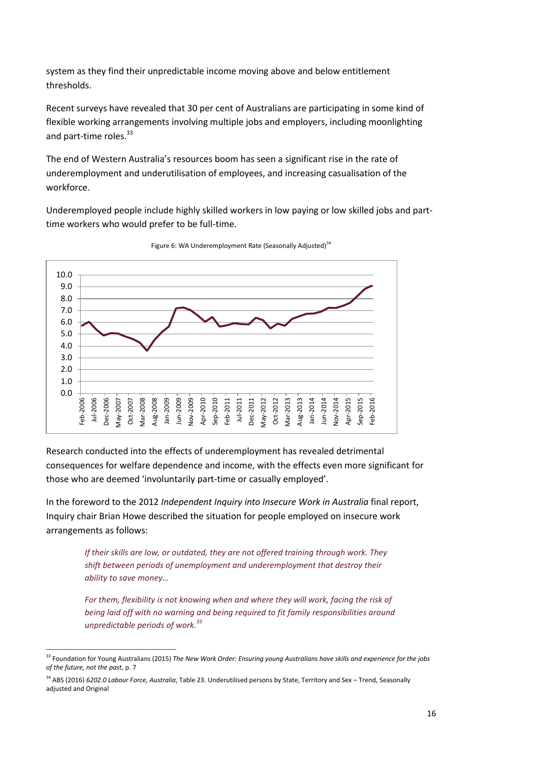system as they find their unpredictable income moving above and below entitlement thresholds.

Recent surveys have revealed that 30 per cent of Australians are participating in some kind of flexible working arrangements involving multiple jobs and employers, including moonlighting and part-time roles.<sup>33</sup>

The end of Western Australia's resources boom has seen a significant rise in the rate of underemployment and underutilisation of employees, and increasing casualisation of the workforce.

Underemployed people include highly skilled workers in low paying or low skilled jobs and parttime workers who would prefer to be full-time.



Figure 6: WA Underemployment Rate (Seasonally Adjusted)<sup>34</sup>

Research conducted into the effects of underemployment has revealed detrimental consequences for welfare dependence and income, with the effects even more significant for those who are deemed 'involuntarily part-time or casually employed'.

In the foreword to the 2012 *Independent Inquiry into Insecure Work in Australia* final report, Inquiry chair Brian Howe described the situation for people employed on insecure work arrangements as follows:

> *If their skills are low, or outdated, they are not offered training through work. They shift between periods of unemployment and underemployment that destroy their ability to save money…*

*For them, flexibility is not knowing when and where they will work, facing the risk of being laid off with no warning and being required to fit family responsibilities around unpredictable periods of work.<sup>35</sup>*

<sup>-</sup><sup>33</sup> Foundation for Young Australians (2015) *The New Work Order: Ensuring young Australians have skills and experience for the jobs of the future, not the past*, p. 7

<sup>34</sup> ABS (2016) *6202.0 Labour Force, Australia*, Table 23. Underutilised persons by State, Territory and Sex – Trend, Seasonally adjusted and Original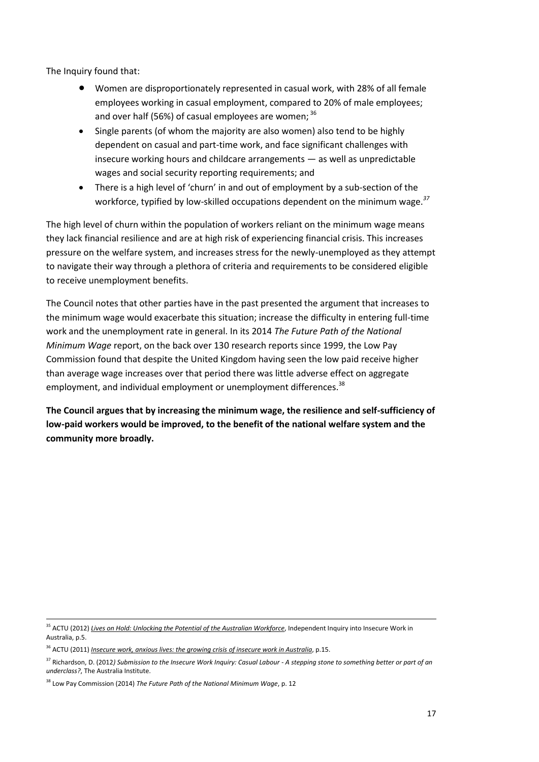The Inquiry found that:

- Women are disproportionately represented in casual work, with 28% of all female employees working in casual employment, compared to 20% of male employees; and over half (56%) of casual employees are women:  $36$
- Single parents (of whom the majority are also women) also tend to be highly dependent on casual and part-time work, and face significant challenges with insecure working hours and childcare arrangements — as well as unpredictable wages and social security reporting requirements; and
- There is a high level of 'churn' in and out of employment by a sub-section of the workforce, typified by low-skilled occupations dependent on the minimum wage.*<sup>37</sup>*

The high level of churn within the population of workers reliant on the minimum wage means they lack financial resilience and are at high risk of experiencing financial crisis. This increases pressure on the welfare system, and increases stress for the newly-unemployed as they attempt to navigate their way through a plethora of criteria and requirements to be considered eligible to receive unemployment benefits.

The Council notes that other parties have in the past presented the argument that increases to the minimum wage would exacerbate this situation; increase the difficulty in entering full-time work and the unemployment rate in general. In its 2014 *The Future Path of the National Minimum Wage* report, on the back over 130 research reports since 1999, the Low Pay Commission found that despite the United Kingdom having seen the low paid receive higher than average wage increases over that period there was little adverse effect on aggregate employment, and individual employment or unemployment differences.<sup>38</sup>

<span id="page-16-0"></span>**The Council argues that by increasing the minimum wage, the resilience and self-sufficiency of low-paid workers would be improved, to the benefit of the national welfare system and the community more broadly.**

1

<sup>35</sup> ACTU (2012) *[Lives on Hold: Unlocking the Potential of](http://www.actu.org.au/Images/Dynamic/attachments/7626/Lives%20on%20Hold%20-%20Unlocking%20the%20potential%20of%20Australia%e2%80%99s%20workforce_v2.pdf) the Australian Workforce*, Independent Inquiry into Insecure Work in Australia, p.5.

<sup>36</sup> ACTU (2011) *[Insecure work, anxious lives: the growing crisis](http://www.actu.org.au/Images/Dynamic/attachments/6637/Secure_Jobs_Better_Future_paper.pdf) of insecure work in Australia*, p.15.

<sup>37</sup> Richardson, D. (2012*[\) Submission to the Insecure Work Inquiry: Casual Labour -](http://www.tai.org.au/node/1817) A stepping stone to something better or part of an [underclass?](http://www.tai.org.au/node/1817)*, The Australia Institute.

<sup>38</sup> Low Pay Commission (2014) *The Future Path of the National Minimum Wage*, p. 12